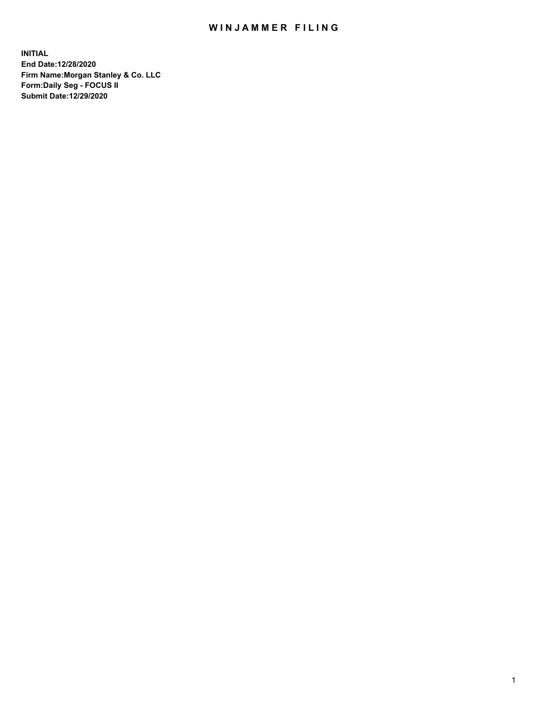## WIN JAMMER FILING

**INITIAL End Date:12/28/2020 Firm Name:Morgan Stanley & Co. LLC Form:Daily Seg - FOCUS II Submit Date:12/29/2020**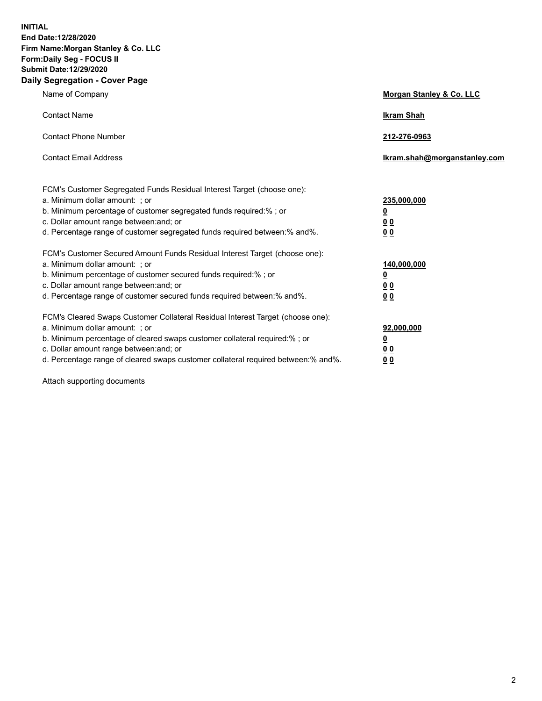**INITIAL End Date:12/28/2020 Firm Name:Morgan Stanley & Co. LLC Form:Daily Seg - FOCUS II Submit Date:12/29/2020 Daily Segregation - Cover Page**

| Name of Company                                                                                                                                                                                                                                                                                                                | Morgan Stanley & Co. LLC                               |
|--------------------------------------------------------------------------------------------------------------------------------------------------------------------------------------------------------------------------------------------------------------------------------------------------------------------------------|--------------------------------------------------------|
| <b>Contact Name</b>                                                                                                                                                                                                                                                                                                            | <b>Ikram Shah</b>                                      |
| <b>Contact Phone Number</b>                                                                                                                                                                                                                                                                                                    | 212-276-0963                                           |
| <b>Contact Email Address</b>                                                                                                                                                                                                                                                                                                   | Ikram.shah@morganstanley.com                           |
| FCM's Customer Segregated Funds Residual Interest Target (choose one):<br>a. Minimum dollar amount: ; or<br>b. Minimum percentage of customer segregated funds required:% ; or<br>c. Dollar amount range between: and; or<br>d. Percentage range of customer segregated funds required between:% and%.                         | 235,000,000<br><u>0</u><br><u>00</u><br>0 <sub>0</sub> |
| FCM's Customer Secured Amount Funds Residual Interest Target (choose one):<br>a. Minimum dollar amount: ; or<br>b. Minimum percentage of customer secured funds required:% ; or<br>c. Dollar amount range between: and; or<br>d. Percentage range of customer secured funds required between:% and%.                           | 140,000,000<br><u>0</u><br><u>00</u><br>0 <sub>0</sub> |
| FCM's Cleared Swaps Customer Collateral Residual Interest Target (choose one):<br>a. Minimum dollar amount: ; or<br>b. Minimum percentage of cleared swaps customer collateral required:% ; or<br>c. Dollar amount range between: and; or<br>d. Percentage range of cleared swaps customer collateral required between:% and%. | 92,000,000<br><u>0</u><br><u>00</u><br>00              |

Attach supporting documents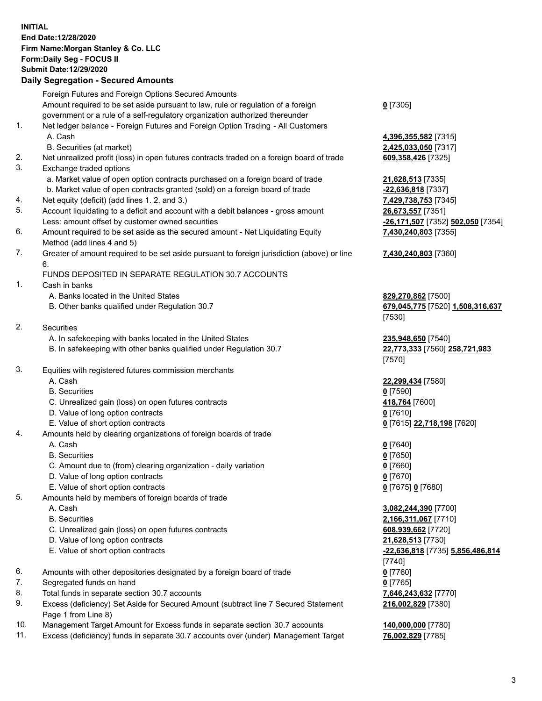## **INITIAL End Date:12/28/2020 Firm Name:Morgan Stanley & Co. LLC Form:Daily Seg - FOCUS II Submit Date:12/29/2020**

## **Daily Segregation - Secured Amounts**

Foreign Futures and Foreign Options Secured Amounts Amount required to be set aside pursuant to law, rule or regulation of a foreign government or a rule of a self-regulatory organization authorized thereunder 1. Net ledger balance - Foreign Futures and Foreign Option Trading - All Customers A. Cash **4,396,355,582** [7315] B. Securities (at market) **2,425,033,050** [7317] 2. Net unrealized profit (loss) in open futures contracts traded on a foreign board of trade **609,358,426** [7325] 3. Exchange traded options a. Market value of open option contracts purchased on a foreign board of trade **21,628,513** [7335] b. Market value of open contracts granted (sold) on a foreign board of trade **-22,636,818** [7337] 4. Net equity (deficit) (add lines 1. 2. and 3.) **7,429,738,753** [7345] 5. Account liquidating to a deficit and account with a debit balances - gross amount **26,673,557** [7351] Less: amount offset by customer owned securities **-26,171,507** [7352] **502,050** [7354] 6. Amount required to be set aside as the secured amount - Net Liquidating Equity Method (add lines 4 and 5) 7. Greater of amount required to be set aside pursuant to foreign jurisdiction (above) or line 6. FUNDS DEPOSITED IN SEPARATE REGULATION 30.7 ACCOUNTS 1. Cash in banks A. Banks located in the United States **829,270,862** [7500] B. Other banks qualified under Regulation 30.7 **679,045,775** [7520] **1,508,316,637** 2. Securities A. In safekeeping with banks located in the United States **235,948,650** [7540] B. In safekeeping with other banks qualified under Regulation 30.7 **22,773,333** [7560] **258,721,983** 3. Equities with registered futures commission merchants A. Cash **22,299,434** [7580] B. Securities **0** [7590] C. Unrealized gain (loss) on open futures contracts **418,764** [7600] D. Value of long option contracts **0** [7610] E. Value of short option contracts **0** [7615] **22,718,198** [7620] 4. Amounts held by clearing organizations of foreign boards of trade A. Cash **0** [7640] B. Securities **0** [7650] C. Amount due to (from) clearing organization - daily variation **0** [7660] D. Value of long option contracts **0** [7670] E. Value of short option contracts **0** [7675] **0** [7680] 5. Amounts held by members of foreign boards of trade A. Cash **3,082,244,390** [7700] B. Securities **2,166,311,067** [7710] C. Unrealized gain (loss) on open futures contracts **608,939,662** [7720] D. Value of long option contracts **21,628,513** [7730] E. Value of short option contracts **-22,636,818** [7735] **5,856,486,814** 6. Amounts with other depositories designated by a foreign board of trade **0** [7760] 7. Segregated funds on hand **0** [7765] 8. Total funds in separate section 30.7 accounts **7,646,243,632** [7770] 9. Excess (deficiency) Set Aside for Secured Amount (subtract line 7 Secured Statement Page 1 from Line 8)

- 10. Management Target Amount for Excess funds in separate section 30.7 accounts **140,000,000** [7780]
- 11. Excess (deficiency) funds in separate 30.7 accounts over (under) Management Target **76,002,829** [7785]

**0** [7305]

**7,430,240,803** [7355]

## **7,430,240,803** [7360]

[7530]

[7570]

[7740] **216,002,829** [7380]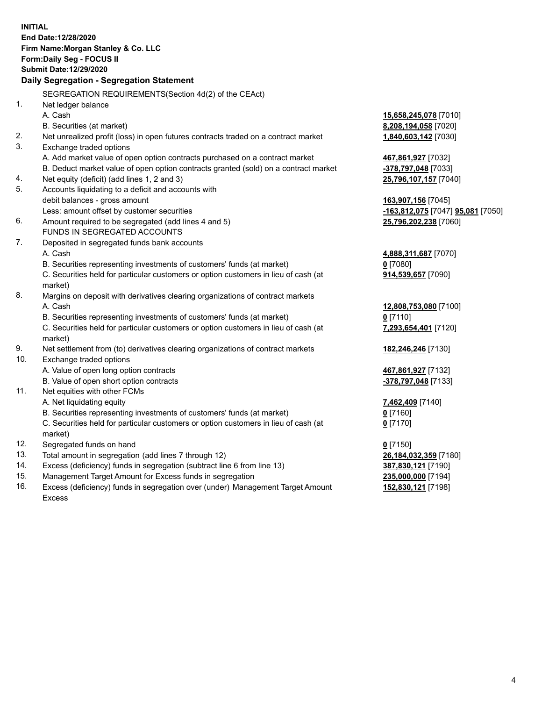|     | <b>INITIAL</b><br>End Date:12/28/2020<br>Firm Name: Morgan Stanley & Co. LLC<br>Form: Daily Seg - FOCUS II |                                   |
|-----|------------------------------------------------------------------------------------------------------------|-----------------------------------|
|     | Submit Date:12/29/2020                                                                                     |                                   |
|     | Daily Segregation - Segregation Statement                                                                  |                                   |
|     | SEGREGATION REQUIREMENTS(Section 4d(2) of the CEAct)                                                       |                                   |
| 1.  | Net ledger balance                                                                                         |                                   |
|     | A. Cash                                                                                                    | 15,658,245,078 [7010]             |
|     | B. Securities (at market)                                                                                  | 8,208,194,058 [7020]              |
| 2.  | Net unrealized profit (loss) in open futures contracts traded on a contract market                         | 1,840,603,142 [7030]              |
| 3.  | Exchange traded options                                                                                    |                                   |
|     | A. Add market value of open option contracts purchased on a contract market                                | 467,861,927 [7032]                |
|     | B. Deduct market value of open option contracts granted (sold) on a contract market                        | -378,797,048 [7033]               |
| 4.  | Net equity (deficit) (add lines 1, 2 and 3)                                                                | 25,796,107,157 [7040]             |
| 5.  | Accounts liquidating to a deficit and accounts with                                                        |                                   |
|     | debit balances - gross amount                                                                              | 163,907,156 [7045]                |
|     | Less: amount offset by customer securities                                                                 | -163,812,075 [7047] 95,081 [7050] |
| 6.  | Amount required to be segregated (add lines 4 and 5)                                                       | 25,796,202,238 [7060]             |
|     | FUNDS IN SEGREGATED ACCOUNTS                                                                               |                                   |
| 7.  | Deposited in segregated funds bank accounts                                                                |                                   |
|     | A. Cash                                                                                                    | 4,888,311,687 [7070]              |
|     | B. Securities representing investments of customers' funds (at market)                                     | $0$ [7080]                        |
|     | C. Securities held for particular customers or option customers in lieu of cash (at                        | 914,539,657 [7090]                |
|     | market)                                                                                                    |                                   |
| 8.  | Margins on deposit with derivatives clearing organizations of contract markets                             |                                   |
|     | A. Cash                                                                                                    | 12,808,753,080 [7100]             |
|     | B. Securities representing investments of customers' funds (at market)                                     | $0$ [7110]                        |
|     | C. Securities held for particular customers or option customers in lieu of cash (at<br>market)             | 7,293,654,401 [7120]              |
| 9.  | Net settlement from (to) derivatives clearing organizations of contract markets                            | 182,246,246 [7130]                |
| 10. | Exchange traded options                                                                                    |                                   |
|     | A. Value of open long option contracts                                                                     | 467,861,927 [7132]                |
|     | B. Value of open short option contracts                                                                    | -378,797,048 [7133]               |
| 11. | Net equities with other FCMs                                                                               |                                   |
|     | A. Net liquidating equity                                                                                  | 7,462,409 [7140]                  |
|     | B. Securities representing investments of customers' funds (at market)                                     | $0$ [7160]                        |
|     | C. Securities held for particular customers or option customers in lieu of cash (at                        | $0$ [7170]                        |
|     | market)                                                                                                    |                                   |
| 12. | Segregated funds on hand                                                                                   | $0$ [7150]                        |
| 13. | Total amount in segregation (add lines 7 through 12)                                                       | 26,184,032,359 [7180]             |
| 14. | Excess (deficiency) funds in segregation (subtract line 6 from line 13)                                    | 387,830,121 [7190]                |
| 15. | Management Target Amount for Excess funds in segregation                                                   | 235,000,000 [7194]                |
| 16. | Excess (deficiency) funds in segregation over (under) Management Target Amount                             | 152,830,121 [7198]                |

16. Excess (deficiency) funds in segregation over (under) Management Target Amount Excess

4